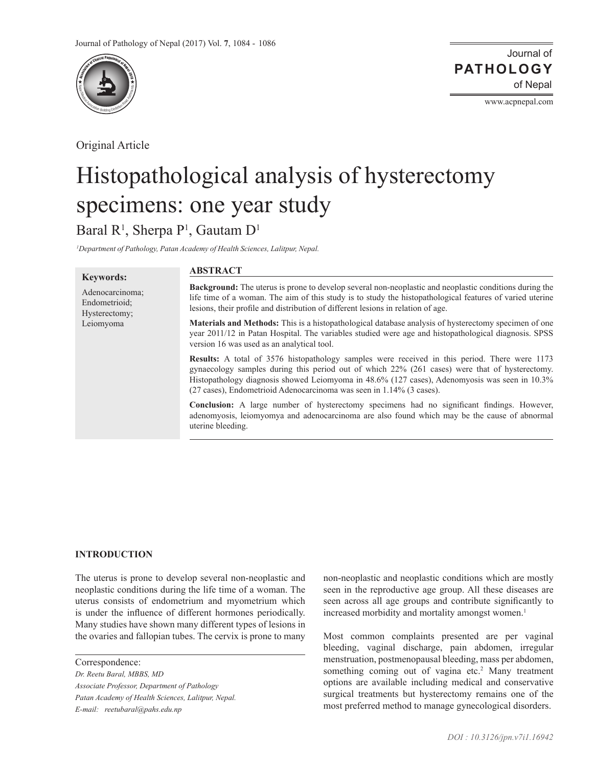

Original Article

Journal of of Nepal **PATHOLOGY**

www.acpnepal.com

# Histopathological analysis of hysterectomy specimens: one year study

# Baral R<sup>1</sup>, Sherpa P<sup>1</sup>, Gautam D<sup>1</sup>

<sup>1</sup>Department of Pathology, Patan Academy of Health Sciences, Lalitpur, Nepal.

| <b>Keywords:</b>                                               | <b>ABSTRACT</b>                                                                                                                                                                                                                                                                                                                                                                 |
|----------------------------------------------------------------|---------------------------------------------------------------------------------------------------------------------------------------------------------------------------------------------------------------------------------------------------------------------------------------------------------------------------------------------------------------------------------|
| Adenocarcinoma;<br>Endometrioid:<br>Hysterectomy;<br>Leiomyoma | <b>Background:</b> The uterus is prone to develop several non-neoplastic and neoplastic conditions during the<br>life time of a woman. The aim of this study is to study the histopathological features of varied uterine<br>lesions, their profile and distribution of different lesions in relation of age.                                                                   |
|                                                                | <b>Materials and Methods:</b> This is a histopathological database analysis of hysterectomy specimen of one<br>year 2011/12 in Patan Hospital. The variables studied were age and histopathological diagnosis. SPSS<br>version 16 was used as an analytical tool.                                                                                                               |
|                                                                | <b>Results:</b> A total of 3576 histopathology samples were received in this period. There were 1173<br>gynaecology samples during this period out of which 22% (261 cases) were that of hysterectomy.<br>Histopathology diagnosis showed Leiomyoma in 48.6% (127 cases), Adenomyosis was seen in 10.3%<br>(27 cases), Endometrioid Adenocarcinoma was seen in 1.14% (3 cases). |
|                                                                | Conclusion: A large number of hysterectomy specimens had no significant findings. However,<br>adenomyosis, leiomyomya and adenocarcinoma are also found which may be the cause of abnormal<br>uterine bleeding.                                                                                                                                                                 |

## **INTRODUCTION**

The uterus is prone to develop several non-neoplastic and neoplastic conditions during the life time of a woman. The uterus consists of endometrium and myometrium which is under the influence of different hormones periodically. Many studies have shown many different types of lesions in the ovaries and fallopian tubes. The cervix is prone to many

Correspondence:

*Dr. Reetu Baral, MBBS, MD Associate Professor, Department of Pathology Patan Academy of Health Sciences, Lalitpur, Nepal. E-mail: reetubaral@pahs.edu.np*

non-neoplastic and neoplastic conditions which are mostly seen in the reproductive age group. All these diseases are seen across all age groups and contribute significantly to increased morbidity and mortality amongst women.<sup>1</sup>

Most common complaints presented are per vaginal bleeding, vaginal discharge, pain abdomen, irregular menstruation, postmenopausal bleeding, mass per abdomen, something coming out of vagina etc.<sup>2</sup> Many treatment options are available including medical and conservative surgical treatments but hysterectomy remains one of the most preferred method to manage gynecological disorders.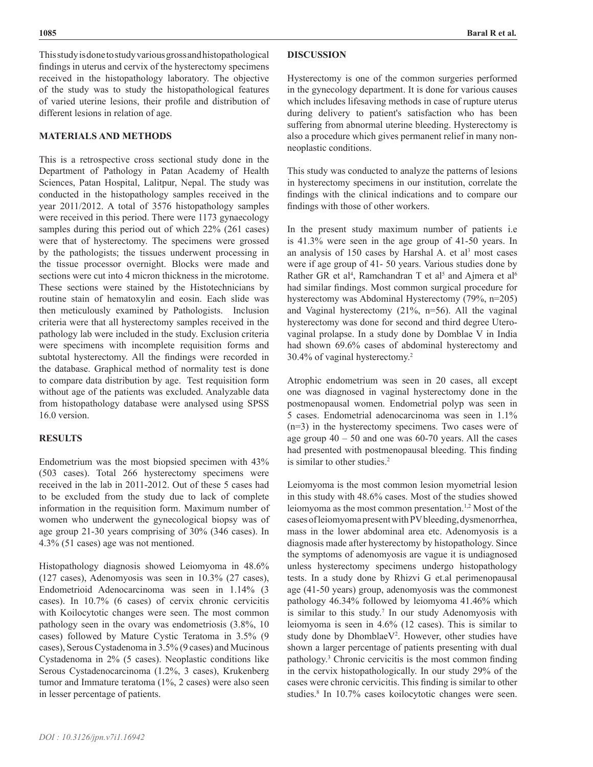### **MATERIALS AND METHODS**

This is a retrospective cross sectional study done in the Department of Pathology in Patan Academy of Health Sciences, Patan Hospital, Lalitpur, Nepal. The study was conducted in the histopathology samples received in the year 2011/2012. A total of 3576 histopathology samples were received in this period. There were 1173 gynaecology samples during this period out of which 22% (261 cases) were that of hysterectomy. The specimens were grossed by the pathologists; the tissues underwent processing in the tissue processor overnight. Blocks were made and sections were cut into 4 micron thickness in the microtome. These sections were stained by the Histotechnicians by routine stain of hematoxylin and eosin. Each slide was then meticulously examined by Pathologists. Inclusion criteria were that all hysterectomy samples received in the pathology lab were included in the study. Exclusion criteria were specimens with incomplete requisition forms and subtotal hysterectomy. All the findings were recorded in the database. Graphical method of normality test is done to compare data distribution by age. Test requisition form without age of the patients was excluded. Analyzable data from histopathology database were analysed using SPSS 16.0 version.

#### **RESULTS**

Endometrium was the most biopsied specimen with 43% (503 cases). Total 266 hysterectomy specimens were received in the lab in 2011-2012. Out of these 5 cases had to be excluded from the study due to lack of complete information in the requisition form. Maximum number of women who underwent the gynecological biopsy was of age group 21-30 years comprising of 30% (346 cases). In 4.3% (51 cases) age was not mentioned.

Histopathology diagnosis showed Leiomyoma in 48.6% (127 cases), Adenomyosis was seen in 10.3% (27 cases), Endometrioid Adenocarcinoma was seen in 1.14% (3 cases). In 10.7% (6 cases) of cervix chronic cervicitis with Koilocytotic changes were seen. The most common pathology seen in the ovary was endometriosis (3.8%, 10 cases) followed by Mature Cystic Teratoma in 3.5% (9 cases), Serous Cystadenoma in 3.5% (9 cases) and Mucinous Cystadenoma in 2% (5 cases). Neoplastic conditions like Serous Cystadenocarcinoma (1.2%, 3 cases), Krukenberg tumor and Immature teratoma (1%, 2 cases) were also seen in lesser percentage of patients.

#### **DISCUSSION**

Hysterectomy is one of the common surgeries performed in the gynecology department. It is done for various causes which includes lifesaving methods in case of rupture uterus during delivery to patient's satisfaction who has been suffering from abnormal uterine bleeding. Hysterectomy is also a procedure which gives permanent relief in many nonneoplastic conditions.

This study was conducted to analyze the patterns of lesions in hysterectomy specimens in our institution, correlate the findings with the clinical indications and to compare our findings with those of other workers.

In the present study maximum number of patients i.e is 41.3% were seen in the age group of 41-50 years. In an analysis of  $150$  cases by Harshal A. et al<sup>3</sup> most cases were if age group of 41- 50 years. Various studies done by Rather GR et al<sup>4</sup>, Ramchandran T et al<sup>5</sup> and Ajmera et al<sup>6</sup> had similar findings. Most common surgical procedure for hysterectomy was Abdominal Hysterectomy (79%, n=205) and Vaginal hysterectomy (21%, n=56). All the vaginal hysterectomy was done for second and third degree Uterovaginal prolapse. In a study done by Domblae V in India had shown 69.6% cases of abdominal hysterectomy and 30.4% of vaginal hysterectomy.2

Atrophic endometrium was seen in 20 cases, all except one was diagnosed in vaginal hysterectomy done in the postmenopausal women. Endometrial polyp was seen in 5 cases. Endometrial adenocarcinoma was seen in 1.1% (n=3) in the hysterectomy specimens. Two cases were of age group  $40 - 50$  and one was  $60 - 70$  years. All the cases had presented with postmenopausal bleeding. This finding is similar to other studies.<sup>2</sup>

Leiomyoma is the most common lesion myometrial lesion in this study with 48.6% cases. Most of the studies showed leiomyoma as the most common presentation.1,2 Most of the cases of leiomyoma present with PV bleeding, dysmenorrhea, mass in the lower abdominal area etc. Adenomyosis is a diagnosis made after hysterectomy by histopathology. Since the symptoms of adenomyosis are vague it is undiagnosed unless hysterectomy specimens undergo histopathology tests. In a study done by Rhizvi G et.al perimenopausal age (41-50 years) group, adenomyosis was the commonest pathology 46.34% followed by leiomyoma 41.46% which is similar to this study.<sup>7</sup> In our study Adenomyosis with leiomyoma is seen in 4.6% (12 cases). This is similar to study done by DhomblaeV<sup>2</sup>. However, other studies have shown a larger percentage of patients presenting with dual pathology.3 Chronic cervicitis is the most common finding in the cervix histopathologically. In our study 29% of the cases were chronic cervicitis. This finding is similar to other studies.8 In 10.7% cases koilocytotic changes were seen.